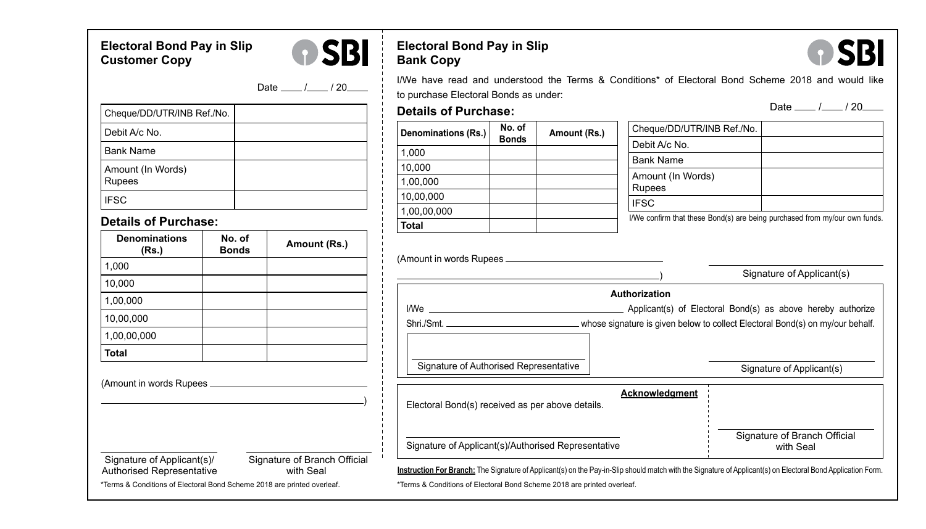## **Electoral Bond Pay in Slip Customer Copy**



# **Electoral Bond Pay in Slip Bank Copy**

to purchase Electoral Bonds as under:



Date  $\frac{1}{20}$  / 20

| Cheque/DD/UTR/INB Ref./No.  |  |
|-----------------------------|--|
| Debit A/c No.               |  |
| <b>Bank Name</b>            |  |
| Amount (In Words)<br>Rupees |  |
| <b>IFSC</b>                 |  |

### **Details of Purchase:**

Authorised Representative

| <b>Denominations</b><br>(Rs.) | No. of<br><b>Bonds</b> | Amount (Rs.) |
|-------------------------------|------------------------|--------------|
| 1,000                         |                        |              |
| 10,000                        |                        |              |
| 1,00,000                      |                        |              |
| 10,00,000                     |                        |              |
| 1,00,00,000                   |                        |              |
| <b>Total</b>                  |                        |              |
| (Amount in words Rupees _     |                        |              |

| Denominations (Rs.)                              | No. of<br><b>Bonds</b> | Amount (Rs.) | Cheque/DD/UTR/INB Ref./No.                                                                                                           |                           |  |
|--------------------------------------------------|------------------------|--------------|--------------------------------------------------------------------------------------------------------------------------------------|---------------------------|--|
| 1.000                                            |                        |              | Debit A/c No.                                                                                                                        |                           |  |
| 10,000                                           |                        |              | <b>Bank Name</b>                                                                                                                     |                           |  |
| 1,00,000                                         |                        |              | Amount (In Words)                                                                                                                    |                           |  |
| 10,00,000                                        |                        |              | <b>Rupees</b>                                                                                                                        |                           |  |
| 1,00,00,000                                      |                        |              | <b>IFSC</b>                                                                                                                          |                           |  |
| <b>Total</b>                                     |                        |              | I/We confirm that these Bond(s) are being purchased from my/our own funds.                                                           |                           |  |
|                                                  |                        |              |                                                                                                                                      |                           |  |
|                                                  |                        |              | Shri./Smt. <u>Changele and Shriagens and Shriagens</u> whose signature is given below to collect Electoral Bond(s) on my/our behalf. |                           |  |
| Signature of Authorised Representative           |                        |              |                                                                                                                                      | Signature of Applicant(s) |  |
| Electoral Bond(s) received as per above details. |                        |              | Acknowledgment                                                                                                                       |                           |  |

I/We have read and understood the Terms & Conditions\* of Electoral Bond Scheme 2018 and would like

\*Terms & Conditions of Electoral Bond Scheme 2018 are printed overleaf.

Signature of Applicant(s)/<br>Authorised Representative with Seal